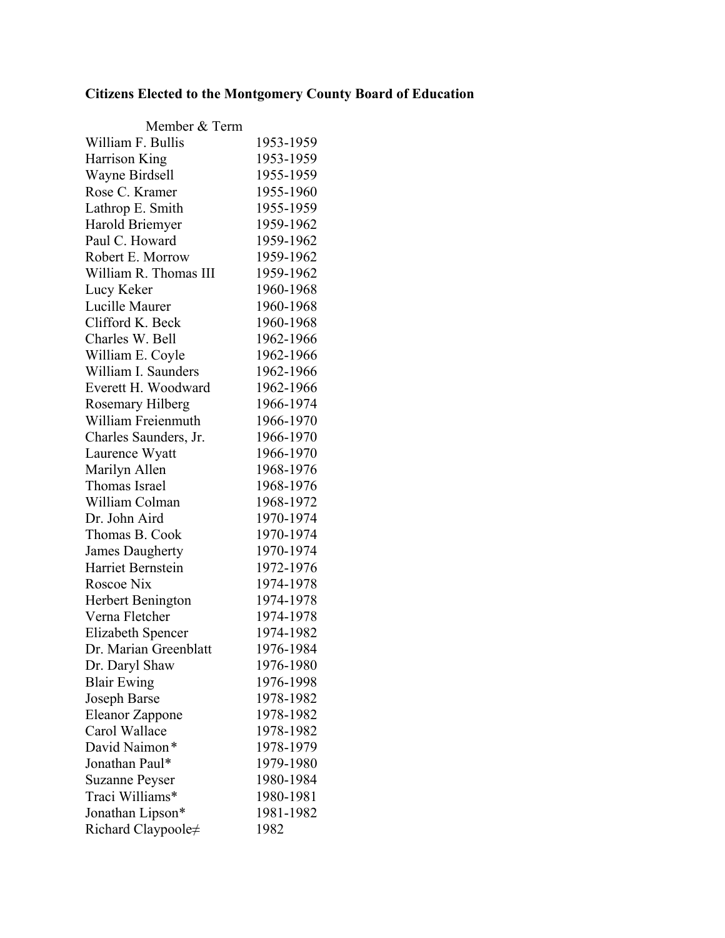## **Citizens Elected to the Montgomery County Board of Education**

| Member & Term          |           |
|------------------------|-----------|
| William F. Bullis      | 1953-1959 |
| Harrison King          | 1953-1959 |
| Wayne Birdsell         | 1955-1959 |
| Rose C. Kramer         | 1955-1960 |
| Lathrop E. Smith       | 1955-1959 |
| Harold Briemyer        | 1959-1962 |
| Paul C. Howard         | 1959-1962 |
| Robert E. Morrow       | 1959-1962 |
| William R. Thomas III  | 1959-1962 |
| Lucy Keker             | 1960-1968 |
| Lucille Maurer         | 1960-1968 |
| Clifford K. Beck       | 1960-1968 |
| Charles W. Bell        | 1962-1966 |
| William E. Coyle       | 1962-1966 |
| William I. Saunders    | 1962-1966 |
| Everett H. Woodward    | 1962-1966 |
| Rosemary Hilberg       | 1966-1974 |
| William Freienmuth     | 1966-1970 |
| Charles Saunders, Jr.  | 1966-1970 |
| Laurence Wyatt         | 1966-1970 |
| Marilyn Allen          | 1968-1976 |
| Thomas Israel          | 1968-1976 |
| William Colman         | 1968-1972 |
| Dr. John Aird          | 1970-1974 |
| Thomas B. Cook         | 1970-1974 |
| <b>James Daugherty</b> | 1970-1974 |
| Harriet Bernstein      | 1972-1976 |
| Roscoe Nix             | 1974-1978 |
| Herbert Benington      | 1974-1978 |
| Verna Fletcher         | 1974-1978 |
| Elizabeth Spencer      | 1974-1982 |
| Dr. Marian Greenblatt  | 1976-1984 |
| Dr. Daryl Shaw         | 1976-1980 |
| <b>Blair Ewing</b>     | 1976-1998 |
| Joseph Barse           | 1978-1982 |
| Eleanor Zappone        | 1978-1982 |
| Carol Wallace          | 1978-1982 |
| David Naimon*          | 1978-1979 |
| Jonathan Paul*         | 1979-1980 |
| <b>Suzanne Peyser</b>  | 1980-1984 |
| Traci Williams*        | 1980-1981 |
| Jonathan Lipson*       | 1981-1982 |
| Richard Claypoole≠     | 1982      |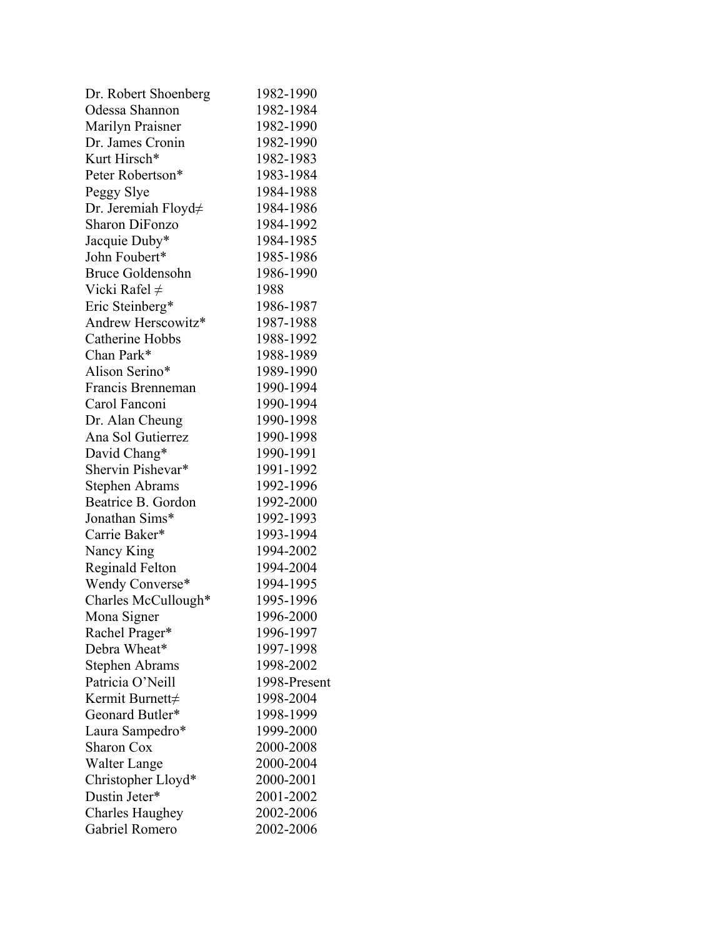| Dr. Robert Shoenberg    | 1982-1990    |
|-------------------------|--------------|
| Odessa Shannon          | 1982-1984    |
| Marilyn Praisner        | 1982-1990    |
| Dr. James Cronin        | 1982-1990    |
| Kurt Hirsch*            | 1982-1983    |
| Peter Robertson*        | 1983-1984    |
| Peggy Slye              | 1984-1988    |
| Dr. Jeremiah Floyd≠     | 1984-1986    |
| <b>Sharon DiFonzo</b>   | 1984-1992    |
| Jacquie Duby*           | 1984-1985    |
| John Foubert*           | 1985-1986    |
| <b>Bruce Goldensohn</b> | 1986-1990    |
| Vicki Rafel $\neq$      | 1988         |
| Eric Steinberg*         | 1986-1987    |
| Andrew Herscowitz*      | 1987-1988    |
| Catherine Hobbs         | 1988-1992    |
| Chan Park*              | 1988-1989    |
| Alison Serino*          | 1989-1990    |
| Francis Brenneman       | 1990-1994    |
| Carol Fanconi           | 1990-1994    |
| Dr. Alan Cheung         | 1990-1998    |
| Ana Sol Gutierrez       | 1990-1998    |
| David Chang*            | 1990-1991    |
| Shervin Pishevar*       | 1991-1992    |
| <b>Stephen Abrams</b>   | 1992-1996    |
| Beatrice B. Gordon      | 1992-2000    |
| Jonathan Sims*          | 1992-1993    |
| Carrie Baker*           | 1993-1994    |
| Nancy King              | 1994-2002    |
| <b>Reginald Felton</b>  | 1994-2004    |
| Wendy Converse*         | 1994-1995    |
| Charles McCullough*     | 1995-1996    |
| Mona Signer             | 1996-2000    |
| Rachel Prager*          | 1996-1997    |
| Debra Wheat*            | 1997-1998    |
| Stephen Abrams          | 1998-2002    |
| Patricia O'Neill        | 1998-Present |
| Kermit Burnett≠         | 1998-2004    |
| Geonard Butler*         | 1998-1999    |
| Laura Sampedro*         | 1999-2000    |
| Sharon Cox              | 2000-2008    |
| <b>Walter Lange</b>     | 2000-2004    |
| Christopher Lloyd*      | 2000-2001    |
| Dustin Jeter*           | 2001-2002    |
|                         | 2002-2006    |
| <b>Charles Haughey</b>  |              |
| Gabriel Romero          | 2002-2006    |